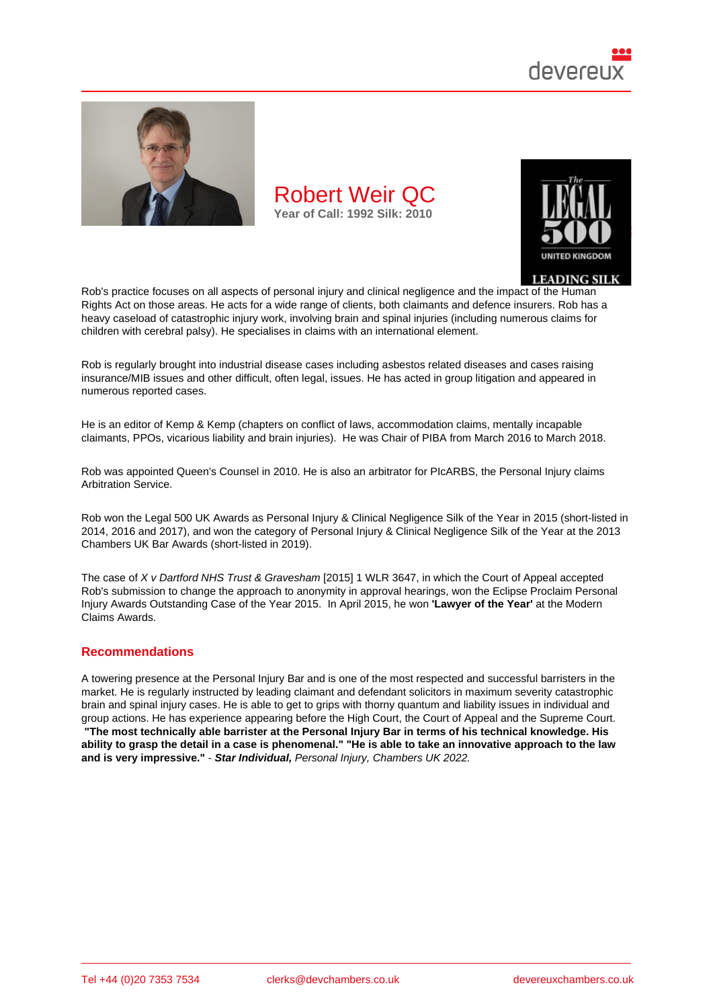

Rob's practice focuses on all aspects of personal injury and clinical negligence and the impact of the Human Rights Act on those areas. He acts for a wide range of clients, both claimants and defence insurers. Rob has a heavy caseload of catastrophic injury work, involving brain and spinal injuries (including numerous claims for children with cerebral palsy). He specialises in claims with an international element.

Rob is regularly brought into industrial disease cases including asbestos related diseases and cases raising insurance/MIB issues and other difficult, often legal, issues. He has acted in group litigation and appeared in numerous reported cases.

He is an editor of Kemp & Kemp (chapters on conflict of laws, accommodation claims, mentally incapable claimants, PPOs, vicarious liability and brain injuries). He was Chair of PIBA from March 2016 to March 2018.

Rob was appointed Queen's Counsel in 2010. He is also an arbitrator for PIcARBS, the Personal Injury claims Arbitration Service.

Rob won the Legal 500 UK Awards as Personal Injury & Clinical Negligence Silk of the Year in 2015 (short-listed in 2014, 2016 and 2017), and won the category of Personal Injury & Clinical Negligence Silk of the Year at the 2013 Chambers UK Bar Awards (short-listed in 2019).

The case of X v Dartford NHS Trust & Gravesham [2015] 1 WLR 3647, in which the Court of Appeal accepted Rob's submission to change the approach to anonymity in approval hearings, won the Eclipse Proclaim Personal Injury Awards Outstanding Case of the Year 2015. In April 2015, he won 'Lawyer of the Year' at the Modern Claims Awards.

## Recommendations

A towering presence at the Personal Injury Bar and is one of the most respected and successful barristers in the market. He is regularly instructed by leading claimant and defendant solicitors in maximum severity catastrophic brain and spinal injury cases. He is able to get to grips with thorny quantum and liability issues in individual and group actions. He has experience appearing before the High Court, the Court of Appeal and the Supreme Court. "The most technically able barrister at the Personal Injury Bar in terms of his technical knowledge. His ability to grasp the detail in a case is phenomenal." "He is able to take an innovative approach to the law and is very impressive." - Star Individual, Personal Injury, Chambers UK 2022.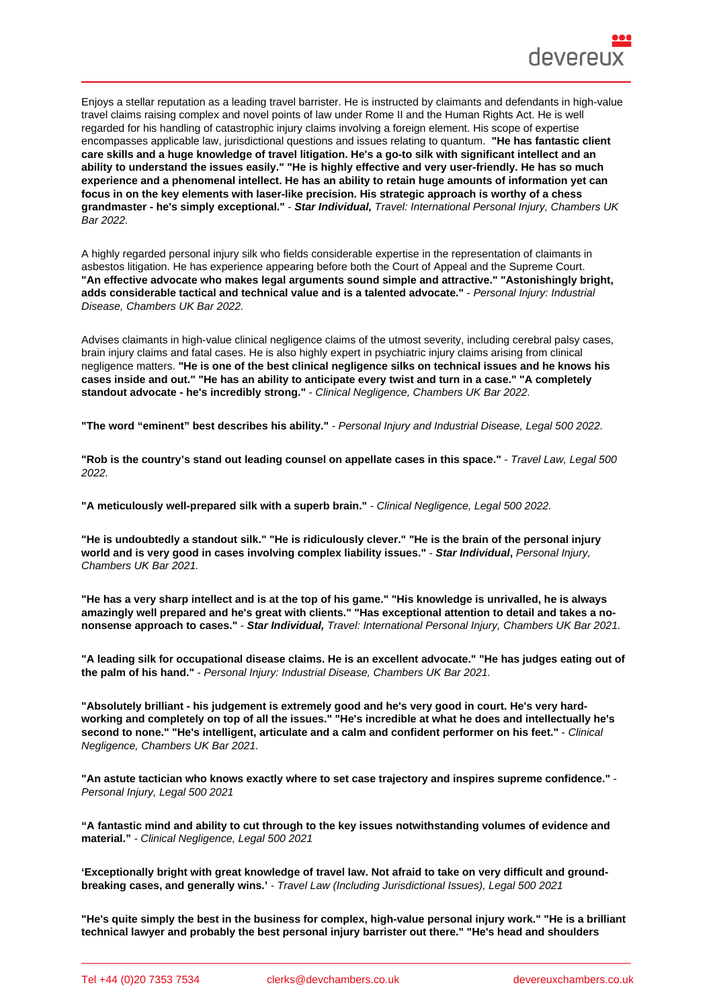Enjoys a stellar reputation as a leading travel barrister. He is instructed by claimants and defendants in high-value travel claims raising complex and novel points of law under Rome II and the Human Rights Act. He is well regarded for his handling of catastrophic injury claims involving a foreign element. His scope of expertise encompasses applicable law, jurisdictional questions and issues relating to quantum. "He has fantastic client care skills and a huge knowledge of travel litigation. He's a go-to silk with significant intellect and an ability to understand the issues easily." "He is highly effective and very user-friendly. He has so much experience and a phenomenal intellect. He has an ability to retain huge amounts of information yet can focus in on the key elements with laser-like precision. His strategic approach is worthy of a chess grandmaster - he's simply exceptional." - Star Individual, Travel: International Personal Injury, Chambers UK Bar 2022.

A highly regarded personal injury silk who fields considerable expertise in the representation of claimants in asbestos litigation. He has experience appearing before both the Court of Appeal and the Supreme Court. "An effective advocate who makes legal arguments sound simple and attractive." "Astonishingly bright, adds considerable tactical and technical value and is a talented advocate." - Personal Injury: Industrial Disease, Chambers UK Bar 2022.

Advises claimants in high-value clinical negligence claims of the utmost severity, including cerebral palsy cases, brain injury claims and fatal cases. He is also highly expert in psychiatric injury claims arising from clinical negligence matters. "He is one of the best clinical negligence silks on technical issues and he knows his cases inside and out." "He has an ability to anticipate every twist and turn in a case." "A completely standout advocate - he's incredibly strong." - Clinical Negligence, Chambers UK Bar 2022.

"The word "eminent" best describes his ability." - Personal Injury and Industrial Disease, Legal 500 2022.

"Rob is the country's stand out leading counsel on appellate cases in this space." - Travel Law, Legal 500 2022.

"A meticulously well-prepared silk with a superb brain." - Clinical Negligence, Legal 500 2022.

"He is undoubtedly a standout silk." "He is ridiculously clever." "He is the brain of the personal injury world and is very good in cases involving complex liability issues." - Star Individual, Personal Injury, Chambers UK Bar 2021.

"He has a very sharp intellect and is at the top of his game." "His knowledge is unrivalled, he is always amazingly well prepared and he's great with clients." "Has exceptional attention to detail and takes a nononsense approach to cases." - Star Individual, Travel: International Personal Injury, Chambers UK Bar 2021.

"A leading silk for occupational disease claims. He is an excellent advocate." "He has judges eating out of the palm of his hand." - Personal Injury: Industrial Disease, Chambers UK Bar 2021.

"Absolutely brilliant - his judgement is extremely good and he's very good in court. He's very hardworking and completely on top of all the issues." "He's incredible at what he does and intellectually he's second to none." "He's intelligent, articulate and a calm and confident performer on his feet." - Clinical Negligence, Chambers UK Bar 2021.

"An astute tactician who knows exactly where to set case trajectory and inspires supreme confidence." - Personal Injury, Legal 500 2021

"A fantastic mind and ability to cut through to the key issues notwithstanding volumes of evidence and material." - Clinical Negligence, Legal 500 2021

'Exceptionally bright with great knowledge of travel law. Not afraid to take on very difficult and groundbreaking cases, and generally wins.' - Travel Law (Including Jurisdictional Issues), Legal 500 2021

"He's quite simply the best in the business for complex, high-value personal injury work." "He is a brilliant technical lawyer and probably the best personal injury barrister out there." "He's head and shoulders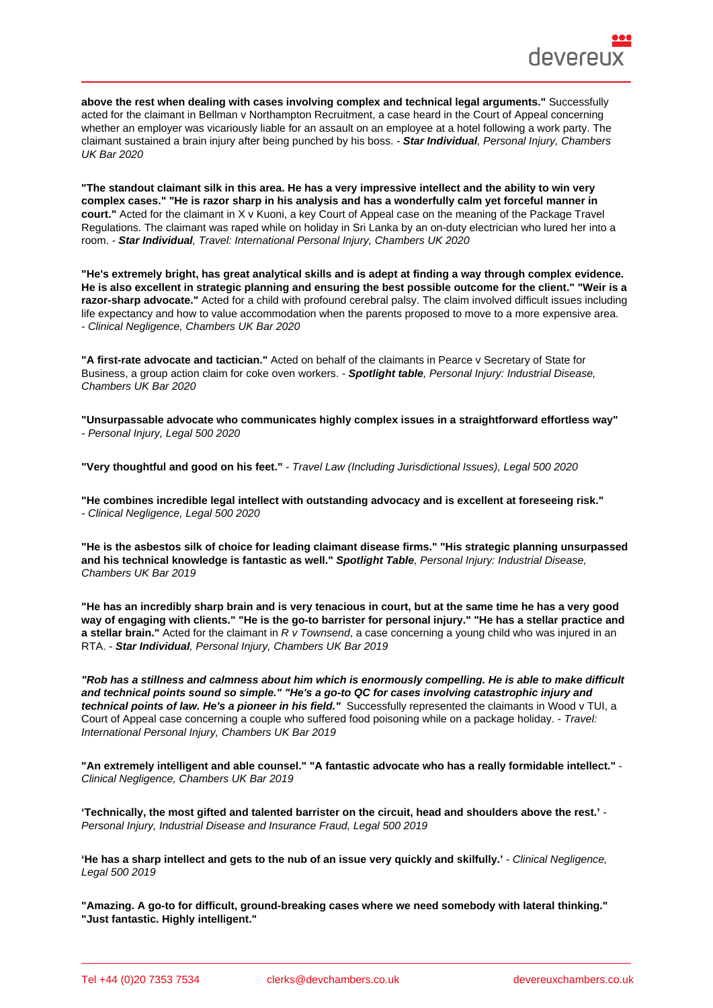above the rest when dealing with cases involving complex and technical legal arguments." Successfully acted for the claimant in Bellman v Northampton Recruitment, a case heard in the Court of Appeal concerning whether an employer was vicariously liable for an assault on an employee at a hotel following a work party. The claimant sustained a brain injury after being punched by his boss. - Star Individual , Personal Injury, Chambers UK Bar 2020

"The standout claimant silk in this area. He has a very impressive intellect and the ability to win very complex cases." "He is razor sharp in his analysis and has a wonderfully calm yet forceful manner in court." Acted for the claimant in X v Kuoni, a key Court of Appeal case on the meaning of the Package Travel Regulations. The claimant was raped while on holiday in Sri Lanka by an on-duty electrician who lured her into a room. - Star Individual , Travel: International Personal Injury, Chambers UK 2020

"He's extremely bright, has great analytical skills and is adept at finding a way through complex evidence. He is also excellent in strategic planning and ensuring the best possible outcome for the client." "Weir is a razor-sharp advocate." Acted for a child with profound cerebral palsy. The claim involved difficult issues including life expectancy and how to value accommodation when the parents proposed to move to a more expensive area. - Clinical Negligence, Chambers UK Bar 2020

"A first-rate advocate and tactician." Acted on behalf of the claimants in Pearce v Secretary of State for Business, a group action claim for coke oven workers. - Spotlight table , Personal Injury: Industrial Disease, Chambers UK Bar 2020

"Unsurpassable advocate who communicates highly complex issues in a straightforward effortless way" - Personal Injury, Legal 500 2020

"Very thoughtful and good on his feet." - Travel Law (Including Jurisdictional Issues), Legal 500 2020

"He combines incredible legal intellect with outstanding advocacy and is excellent at foreseeing risk." - Clinical Negligence, Legal 500 2020

"He is the asbestos silk of choice for leading claimant disease firms." "His strategic planning unsurpassed Spotlight Table, Personal Injury: Industrial Disease, Chambers UK Bar 2019

"He has an incredibly sharp brain and is very tenacious in court, but at the same time he has a very good way of engaging with clients." "He is the go-to barrister for personal injury." "He has a stellar practice and a stellar brain." Acted for the claimant in R v Townsend, a case concerning a young child who was injured in an RTA. - Star Individual , Personal Injury, Chambers UK Bar 2019

"Rob has a stillness and calmness about him which is enormously compelling. He is able to make difficult and technical points sound so simple." "He's a go-to QC for cases involving catastrophic injury and technical points of law. He's a pioneer in his field." Successfully represented the claimants in Wood v TUI, a Court of Appeal case concerning a couple who suffered food poisoning while on a package holiday. - Travel: International Personal Injury, Chambers UK Bar 2019

"An extremely intelligent and able counsel." "A fantastic advocate who has a really formidable intellect." Clinical Negligence, Chambers UK Bar 2019

'Technically, the most gifted and talented barrister on the circuit, head and shoulders above the rest.' - Personal Injury, Industrial Disease and Insurance Fraud, Legal 500 2019

'He has a sharp intellect and gets to the nub of an issue very quickly and skilfully.' - Clinical Negligence, Legal 500 2019

"Amazing. A go-to for difficult, ground-breaking cases where we need somebody with lateral thinking." "Just fantastic. Highly intelligent."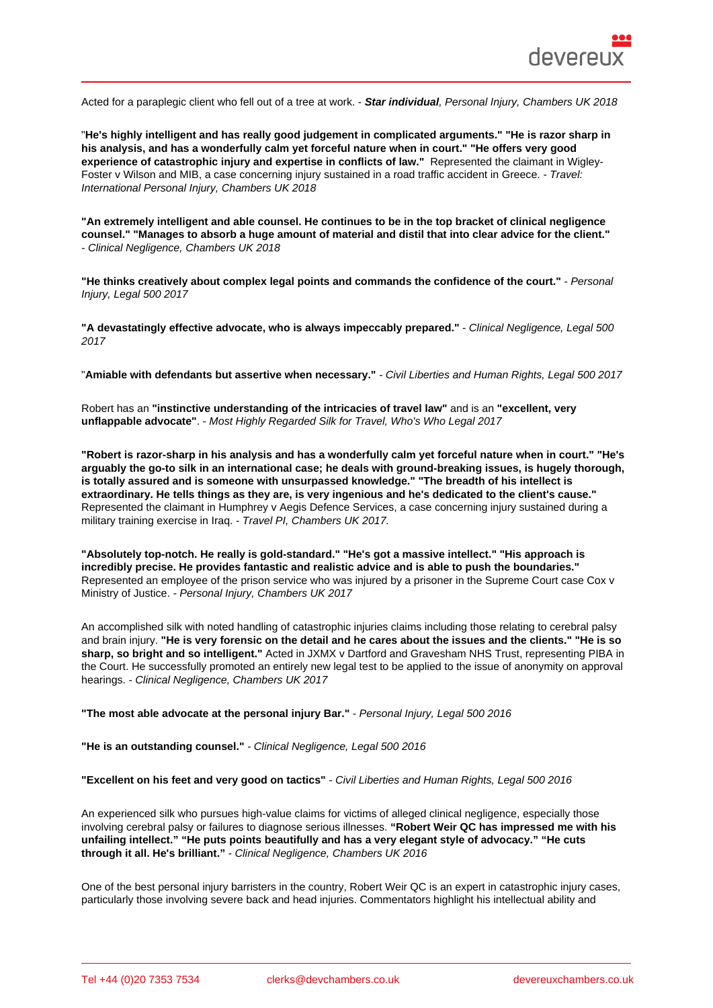Acted for a paraplegic client who fell out of a tree at work. - Star individual , Personal Injury, Chambers UK 2018

"He's highly intelligent and has really good judgement in complicated arguments." "He is razor sharp in his analysis, and has a wonderfully calm yet forceful nature when in court." "He offers very good experience of catastrophic injury and expertise in conflicts of law." Represented the claimant in Wigley-Foster v Wilson and MIB, a case concerning injury sustained in a road traffic accident in Greece. - Travel: International Personal Injury, Chambers UK 2018

"An extremely intelligent and able counsel. He continues to be in the top bracket of clinical negligence counsel." "Manages to absorb a huge amount of material and distil that into clear advice for the client." - Clinical Negligence, Chambers UK 2018

"He thinks creatively about complex legal points and commands the confidence of the court." - Personal Injury, Legal 500 2017

"A devastatingly effective advocate, who is always impeccably prepared." - Clinical Negligence, Legal 500 2017

"Amiable with defendants but assertive when necessary." - Civil Liberties and Human Rights, Legal 500 2017

Robert has an "instinctive understanding of the intricacies of travel law" and is an "excellent, very unflappable advocate" . - Most Highly Regarded Silk for Travel, Who's Who Legal 2017

"Robert is razor-sharp in his analysis and has a wonderfully calm yet forceful nature when in court." "He's arguably the go-to silk in an international case; he deals with ground-breaking issues, is hugely thorough, is totally assured and is someone with unsurpassed knowledge." "The breadth of his intellect is extraordinary. He tells things as they are, is very ingenious and he's dedicated to the client's cause." Represented the claimant in Humphrey v Aegis Defence Services, a case concerning injury sustained during a military training exercise in Iraq. - Travel PI, Chambers UK 2017.

"Absolutely top-notch. He really is gold-standard." "He's got a massive intellect." "His approach is incredibly precise. He provides fantastic and realistic advice and is able to push the boundaries." Represented an employee of the prison service who was injured by a prisoner in the Supreme Court case Cox v Ministry of Justice. - Personal Injury, Chambers UK 2017

An accomplished silk with noted handling of catastrophic injuries claims including those relating to cerebral palsy and brain injury. "He is very forensic on the detail and he cares about the issues and the clients." "He is so sharp, so bright and so intelligent." Acted in JXMX v Dartford and Gravesham NHS Trust, representing PIBA in the Court. He successfully promoted an entirely new legal test to be applied to the issue of anonymity on approval hearings. - Clinical Negligence, Chambers UK 2017

| "The most able advocate at the personal injury Bar." |                                       | - Personal Injury, Legal 500 2016 |  |
|------------------------------------------------------|---------------------------------------|-----------------------------------|--|
| "He is an outstanding counsel."                      | - Clinical Negligence, Legal 500 2016 |                                   |  |

"Excellent on his feet and very good on tactics" - Civil Liberties and Human Rights, Legal 500 2016

An experienced silk who pursues high-value claims for victims of alleged clinical negligence, especially those involving cerebral palsy or failures to diagnose serious illnesses. "Robert Weir QC has impressed me with his unfailing intellect." "He puts points beautifully and has a very elegant style of advocacy." "He cuts through it all. He's brilliant." - Clinical Negligence, Chambers UK 2016

One of the best personal injury barristers in the country, Robert Weir QC is an expert in catastrophic injury cases, particularly those involving severe back and head injuries. Commentators highlight his intellectual ability and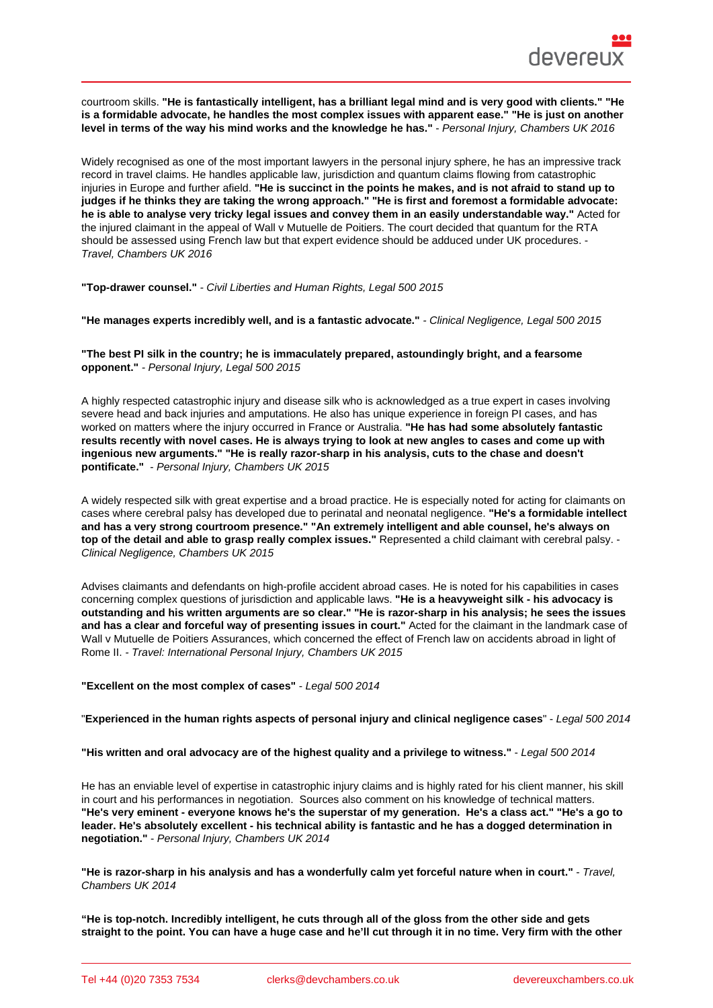courtroom skills. "He is fantastically intelligent, has a brilliant legal mind and is very good with clients." "He is a formidable advocate, he handles the most complex issues with apparent ease." "He is just on another level in terms of the way his mind works and the knowledge he has." - Personal Injury, Chambers UK 2016

Widely recognised as one of the most important lawyers in the personal injury sphere, he has an impressive track record in travel claims. He handles applicable law, jurisdiction and quantum claims flowing from catastrophic injuries in Europe and further afield. "He is succinct in the points he makes, and is not afraid to stand up to judges if he thinks they are taking the wrong approach." "He is first and foremost a formidable advocate: he is able to analyse very tricky legal issues and convey them in an easily understandable way." Acted for the injured claimant in the appeal of Wall v Mutuelle de Poitiers. The court decided that quantum for the RTA should be assessed using French law but that expert evidence should be adduced under UK procedures. - Travel, Chambers UK 2016

"Top-drawer counsel." - Civil Liberties and Human Rights, Legal 500 2015

"He manages experts incredibly well, and is a fantastic advocate." - Clinical Negligence, Legal 500 2015

"The best PI silk in the country; he is immaculately prepared, astoundingly bright, and a fearsome opponent." - Personal Injury, Legal 500 2015

A highly respected catastrophic injury and disease silk who is acknowledged as a true expert in cases involving severe head and back injuries and amputations. He also has unique experience in foreign PI cases, and has worked on matters where the injury occurred in France or Australia. "He has had some absolutely fantastic results recently with novel cases. He is always trying to look at new angles to cases and come up with ingenious new arguments." "He is really razor-sharp in his analysis, cuts to the chase and doesn't pontificate." - Personal Injury, Chambers UK 2015

A widely respected silk with great expertise and a broad practice. He is especially noted for acting for claimants on cases where cerebral palsy has developed due to perinatal and neonatal negligence. "He's a formidable intellect and has a very strong courtroom presence." "An extremely intelligent and able counsel, he's always on top of the detail and able to grasp really complex issues." Represented a child claimant with cerebral palsy. -Clinical Negligence, Chambers UK 2015

Advises claimants and defendants on high-profile accident abroad cases. He is noted for his capabilities in cases concerning complex questions of jurisdiction and applicable laws. "He is a heavyweight silk - his advocacy is outstanding and his written arguments are so clear." "He is razor-sharp in his analysis; he sees the issues and has a clear and forceful way of presenting issues in court." Acted for the claimant in the landmark case of Wall v Mutuelle de Poitiers Assurances, which concerned the effect of French law on accidents abroad in light of Rome II. - Travel: International Personal Injury, Chambers UK 2015

"Excellent on the most complex of cases" - Legal 500 2014

| "Experienced in the human rights aspects of personal injury and clinical negligence cases | " - Legal 500 2014 |
|-------------------------------------------------------------------------------------------|--------------------|
|-------------------------------------------------------------------------------------------|--------------------|

"His written and oral advocacy are of the highest quality and a privilege to witness." - Legal 500 2014

He has an enviable level of expertise in catastrophic injury claims and is highly rated for his client manner, his skill in court and his performances in negotiation. Sources also comment on his knowledge of technical matters. "He's very eminent - everyone knows he's the superstar of my generation. He's a class act." "He's a go to leader. He's absolutely excellent - his technical ability is fantastic and he has a dogged determination in negotiation." - Personal Injury, Chambers UK 2014

"He is razor-sharp in his analysis and has a wonderfully calm yet forceful nature when in court." - Travel, Chambers UK 2014

"He is top-notch. Incredibly intelligent, he cuts through all of the gloss from the other side and gets straight to the point. You can have a huge case and he'll cut through it in no time. Very firm with the other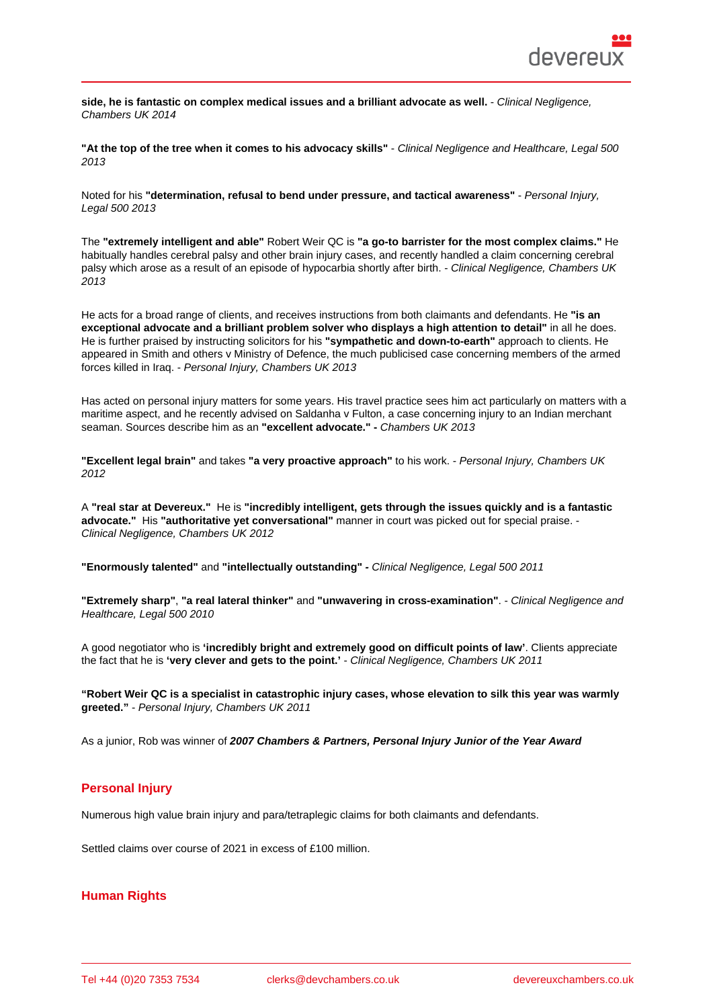side, he is fantastic on complex medical issues and a brilliant advocate as well. - - Clinical Negligence, Chambers UK 2014

"At the top of the tree when it comes to his advocacy skills" - Clinical Negligence and Healthcare, Legal 500 2013

Noted for his "determination, refusal to bend under pressure, and tactical awareness" - Personal Injury, Legal 500 2013

The "extremely intelligent and able" Robert Weir QC is "a go-to barrister for the most complex claims." He habitually handles cerebral palsy and other brain injury cases, and recently handled a claim concerning cerebral palsy which arose as a result of an episode of hypocarbia shortly after birth. - Clinical Negligence, Chambers UK 2013

He acts for a broad range of clients, and receives instructions from both claimants and defendants. He "is an exceptional advocate and a brilliant problem solver who displays a high attention to detail" in all he does. He is further praised by instructing solicitors for his "sympathetic and down-to-earth" approach to clients. He appeared in Smith and others v Ministry of Defence, the much publicised case concerning members of the armed forces killed in Iraq. - Personal Injury, Chambers UK 2013

Has acted on personal injury matters for some years. His travel practice sees him act particularly on matters with a maritime aspect, and he recently advised on Saldanha v Fulton, a case concerning injury to an Indian merchant seaman. Sources describe him as an "excellent advocate." - Chambers UK 2013

"Excellent legal brain" and takes "a very proactive approach" to his work. - Personal Injury, Chambers UK 2012

A "real star at Devereux." He is "incredibly intelligent, gets through the issues quickly and is a fantastic advocate." His "authoritative yet conversational" manner in court was picked out for special praise. - Clinical Negligence, Chambers UK 2012

```
"Enormously talented" and "intellectually outstanding" - Clinical Negligence, Legal 500 2011
```
"Extremely sharp" , "a real lateral thinker" and "unwavering in cross-examination" . - Clinical Negligence and Healthcare, Legal 500 2010

A good negotiator who is 'incredibly bright and extremely good on difficult points of law' . Clients appreciate the fact that he is 'very clever and gets to the point.' - Clinical Negligence, Chambers UK 2011

"Robert Weir QC is a specialist in catastrophic injury cases, whose elevation to silk this year was warmly greeted." - Personal Injury, Chambers UK 2011

As a junior, Rob was winner of 2007 Chambers & Partners, Personal Injury Junior of the Year Award

# Personal Injury

Numerous high value brain injury and para/tetraplegic claims for both claimants and defendants.

Settled claims over course of 2021 in excess of £100 million.

### Human Rights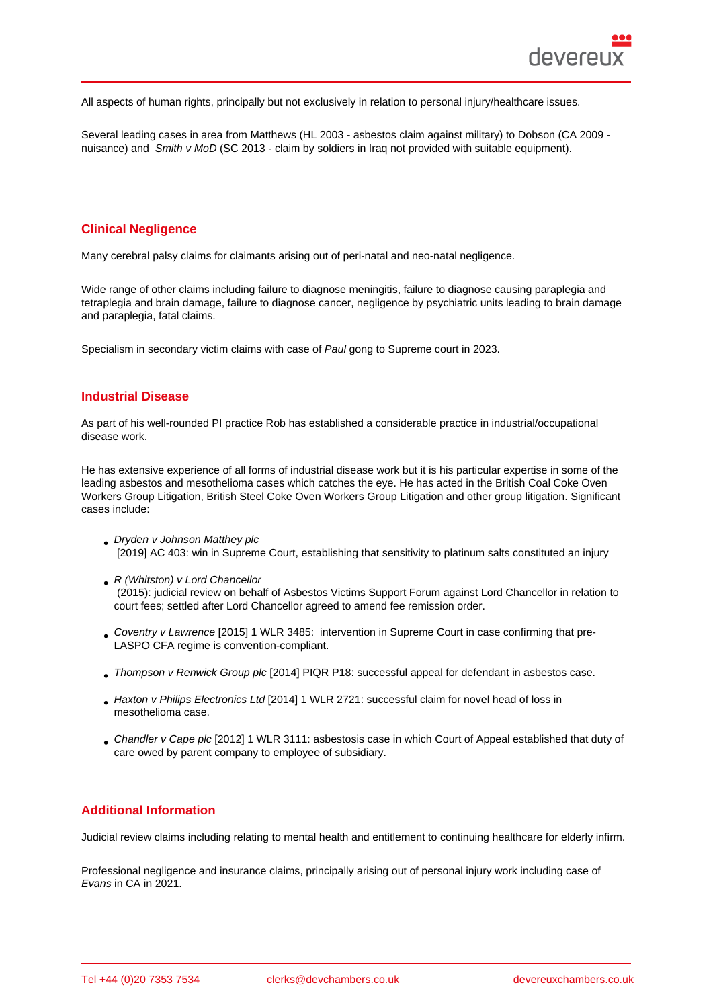All aspects of human rights, principally but not exclusively in relation to personal injury/healthcare issues.

Several leading cases in area from Matthews (HL 2003 - asbestos claim against military) to Dobson (CA 2009 nuisance) and Smith v MoD (SC 2013 - claim by soldiers in Iraq not provided with suitable equipment).

### Clinical Negligence

Many cerebral palsy claims for claimants arising out of peri-natal and neo-natal negligence.

Wide range of other claims including failure to diagnose meningitis, failure to diagnose causing paraplegia and tetraplegia and brain damage, failure to diagnose cancer, negligence by psychiatric units leading to brain damage and paraplegia, fatal claims.

Specialism in secondary victim claims with case of Paul gong to Supreme court in 2023.

### Industrial Disease

As part of his well-rounded PI practice Rob has established a considerable practice in industrial/occupational disease work.

He has extensive experience of all forms of industrial disease work but it is his particular expertise in some of the leading asbestos and mesothelioma cases which catches the eye. He has acted in the British Coal Coke Oven Workers Group Litigation, British Steel Coke Oven Workers Group Litigation and other group litigation. Significant cases include:

- Dryden v Johnson Matthey plc [2019] AC 403: win in Supreme Court, establishing that sensitivity to platinum salts constituted an injury
- R (Whitston) v Lord Chancellor (2015): judicial review on behalf of Asbestos Victims Support Forum against Lord Chancellor in relation to court fees; settled after Lord Chancellor agreed to amend fee remission order.
- Coventry v Lawrence [2015] 1 WLR 3485: intervention in Supreme Court in case confirming that pre-LASPO CFA regime is convention-compliant.
- Thompson v Renwick Group plc [2014] PIQR P18: successful appeal for defendant in asbestos case.
- [Haxton v Philips Elect](http://bit.ly/2Q2OzIK)ronics Ltd [2014] 1 WLR 2721: successful claim for novel head of loss in mesothelioma case.
- [Chandler v Cape plc \[2012\] 1 WL](http://bit.ly/3cPfPUL)R 3111: asbestosis case in which Court of Appeal established that duty of [care owed by parent company to](http://bit.ly/3cO2DzG) employee of subsidiary.

## Additional Information

Judicial review claims including relating to mental health and entitlement to continuing healthcare for elderly infirm.

Professional negligence and insurance claims, principally arising out of personal injury work including case of Evans in CA in 2021.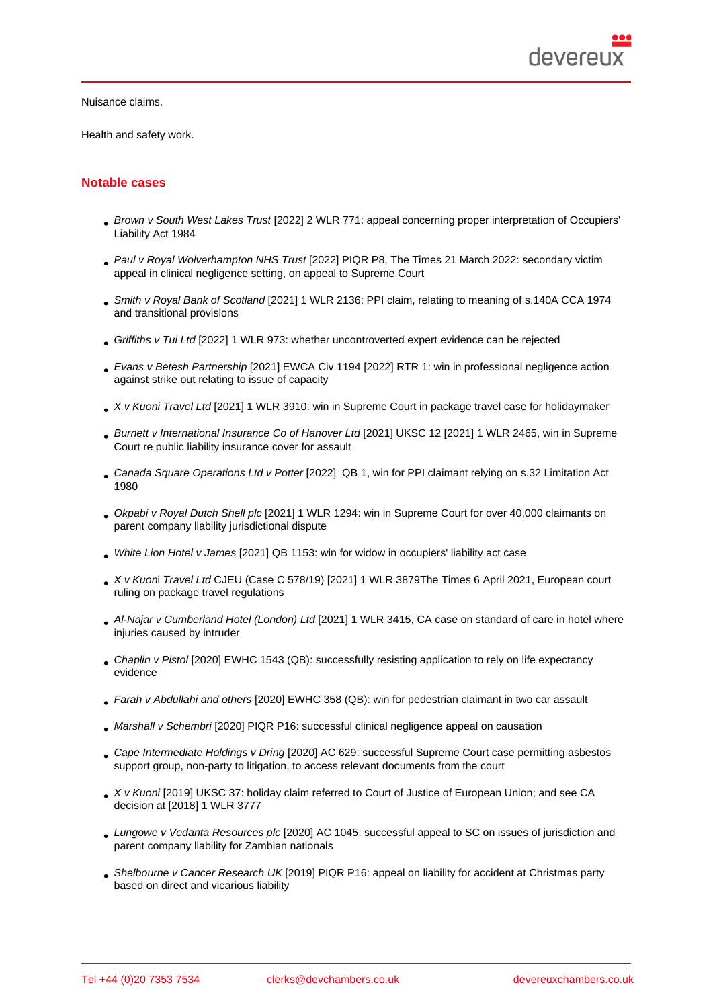Health and safety work.

### Notable cases

- Brown v South West Lakes Trust [2022] 2 WLR 771: appeal concerning proper interpretation of Occupiers' Liability Act 1984
- Paul v Royal Wolverhampton NHS Trust [2022] PIQR P8, The Times 21 March 2022: secondary victim appeal in clinical negligence setting, on appeal to Supreme Court
- Smith v Royal Bank of Scotland [2021] 1 WLR 2136: PPI claim, relating to meaning of s.140A CCA 1974 and transitional provisions
- Griffiths v Tui Ltd [2022] 1 WLR 973: whether uncontroverted expert evidence can be rejected
- [Evans v Betesh Partnership \[20](https://www.devereuxchambers.co.uk/assets/docs/news/Smith_Burrell_v_RBS_B2-2021-0154_0887_03-12-21_Final.pdf)21] EWCA Civ 1194 [2022] RTR 1: win in professional negligence action against strike out relating to issue of capacity
- [X v Kuoni Travel](https://www.bailii.org/ew/cases/EWCA/Civ/2021/1442.html) Ltd [2021] 1 WLR 3910: win in Supreme Court in package travel case for holidaymaker
- [Burnett v International Insura](https://www.devereuxchambers.co.uk/assets/docs/news/Evans.APPROVED_JUDGMENTS_.pdf)nce Co of Hanover Ltd [2021] UKSC 12 [2021] 1 WLR 2465, win in Supreme Court re public liability insurance cover for assault
- [Canada Square Ope](https://www.supremecourt.uk/cases/docs/uksc-2018-0102-judgment-1.pdf)rations Ltd v Potter [2022] QB 1, win for PPI claimant relying on s.32 Limitation Act [1980](https://www.supremecourt.uk/cases/docs/uksc-2019-0121-judgment.pdf)
- Okpabi v Royal Dutch Shell plc [2021] 1 WLR 1294: win in Supreme Court for over 40,000 claimants on [parent company liability jurisdictional dis](https://www.devereuxchambers.co.uk/assets/docs/news/A2.2020.0759_-_Canada_Square_v_Potter_JUDGMENT_FINAL_FOR_HAND_DOWN_.doc_2021_EWCA_Civ_339_.pdf)pute
- White Lion Hotel v James [2021] QB 1153: win for widow in occupiers' liability act case
- [X v Kuoni Travel Ltd](https://www.supremecourt.uk/cases/docs/uksc-2018-0068-judgment.pdf) CJEU (Case C 578/19) [2021] 1 WLR 3879The Times 6 April 2021, European court ruling on package travel regulations
- [Al-Najar v Cumberland Ho](https://www.devereuxchambers.co.uk/assets/docs/news/james_v_white_lion_hotel.CA_judgment_.pdf)tel (London) Ltd [2021] 1 WLR 3415, CA case on standard of care in hotel where [injuries caused by in](https://www.devereuxchambers.co.uk/assets/docs/news/2_-_TRA-DOC-EN-ARRET-C-0578-2019-202101386-05S00.pdf)truder
- Chaplin v Pistol [2020] EWHC 1543 (QB): successfully resisting application to rely on life expectancy evidence
- Farah v Abdullahi and others [2020] EWHC 358 (QB): win for pedestrian claimant in two car assault
- [Marshall v Sche](http://www.devereuxchambers.co.uk/images/uploads/members/Chaplin_v_Pistol.pdf)mbri [2020] PIQR P16: successful clinical negligence appeal on causation
- [Cape Intermediate Holdings v](http://www.devereuxchambers.co.uk/assets/docs/publications/Farah_judgment.pdf) Dring [2020] AC 629: successful Supreme Court case permitting asbestos support group, non-party to litigation, to access relevant documents from the court
- [X v Kuoni \[2019\] UKS](http://www.devereuxchambers.co.uk/assets/docs/publications/Schembri_v_Marshall.pdf)C 37: holiday claim referred to Court of Justice of European Union; and see CA [decision at \[2018\] 1 WLR 3777](http://www.devereuxchambers.co.uk/images/uploads/members/Cape_Intermediate_Holdings_Ltd_v_Dring_(for_and_on_behalf_of_Asbestos_Victims_Support_Groups_Forum_UK).pdf)
- Lungowe v Vedanta Resources plc [2020] AC 1045: successful appeal to SC on issues of jurisdiction and [parent com](http://www.devereuxchambers.co.uk/images/uploads/members/X_v_Kuoni_Travel_Ltd.pdf)pany liability for Zambian nationals
- Shelbourne v Cancer Research UK [2019] PIQR P16: appeal on liability for accident at Christmas party [based on direct and vicarious liabili](http://bit.ly/3aAVK2K)ty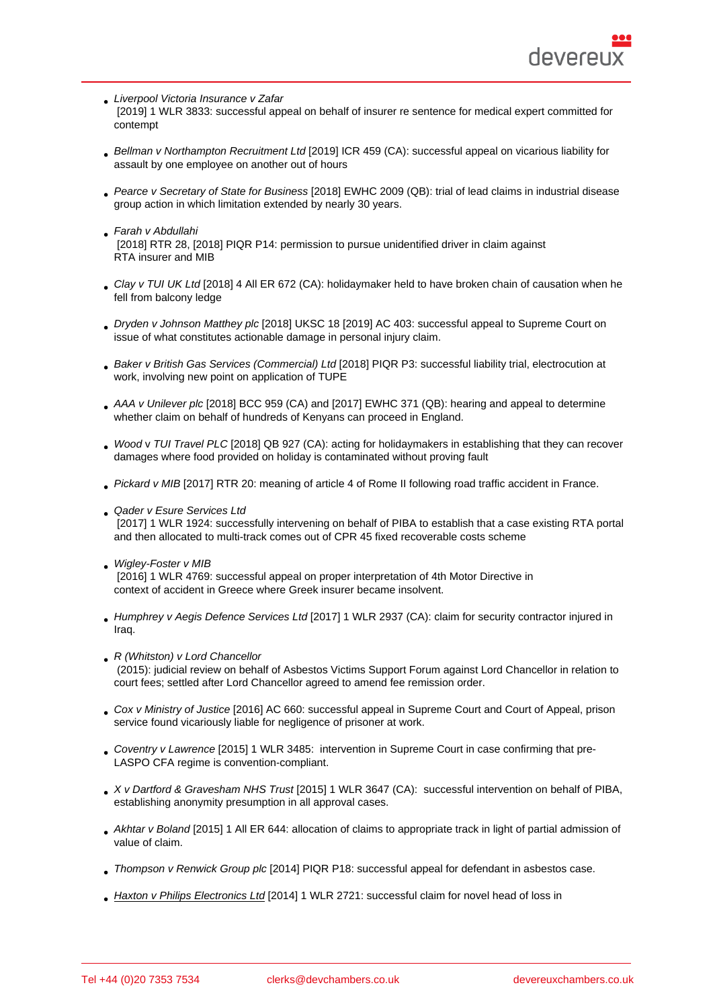- Liverpool Victoria Insurance v Zafar
- [2019] 1 WLR 3833: successful appeal on behalf of insurer re sentence for medical expert committed for contempt
- [Bellman v Northampton Recruitmen](http://bit.ly/2Q55VER)t Ltd [2019] ICR 459 (CA): successful appeal on vicarious liability for assault by one employee on another out of hours
- Pearce v Secretary of State for Business [2018] EWHC 2009 (QB): trial of lead claims in industrial disease [group action in which limitation extended](http://www.devereuxchambers.co.uk/assets/docs/expertise/RTW_11.10.18_Clive_Bellman_v_Northampton_Recruitment_Ltd_Approved_.docx) by nearly 30 years.
- Farah v Abdullahi  [\[2018\] RTR 28, \[2018\] PIQR P14: permis](http://bit.ly/2Q42b6r)sion to pursue unidentified driver in claim against RTA insurer and MIB
- [Clay v TUI UK Ltd](http://bit.ly/3cLT18m) [2018] 4 All ER 672 (CA): holidaymaker held to have broken chain of causation when he fell from balcony ledge
- Dryden v Johnson Matthey plc [2018] UKSC 18 [2019] AC 403: successful appeal to Supreme Court on [issue of what cons](http://bit.ly/2Q3u9zv)titutes actionable damage in personal injury claim.
- Baker v British Gas Services (Commercial) Ltd [2018] PIQR P3: successful liability trial, electrocution at [work, involving new point on ap](http://bit.ly/3355PCB)plication of TUPE
- AAA v Unilever plc [2018] BCC 959 (CA) and [2017] EWHC 371 (QB): hearing and appeal to determine [whether claim on behalf of hundreds of Kenyan](https://www.bailii.org/ew/cases/EWHC/QB/2017/2302.html)s can proceed in England.
- Wood v TUI Travel PLC [2018] QB 927 (CA): acting for holidaymakers in establishing that they can recover [damages where foo](http://bit.ly/3aKegWw)d provided on holiday is contaminated without proving fault
- Pickard v MIB [2017] RTR 20: meaning of article 4 of Rome II following road traffic accident in France.
- [Qader](http://bit.ly/3aJZ0sM) v [Esure Services](https://www.bailii.org/ew/cases/EWCA/Civ/2017/11.html) Ltd

 [2017] 1 WLR 1924: successfully intervening on behalf of PIBA to establish that a case existing RTA portal [and then alloc](https://www.bailii.org/ew/cases/EWCA/Civ/2017/17.html)ated to multi-track comes out of CPR 45 fixed recoverable costs scheme

- [Wigley-Foster v MIB](http://bit.ly/2TDWe2n) [2016] 1 WLR 4769: successful appeal on proper interpretation of 4th Motor Directive in context of accident in Greece where Greek insurer became insolvent.
- [Humphrey v Aegis D](http://bit.ly/2IwJMeq)efence Services Ltd [2017] 1 WLR 2937 (CA): claim for security contractor injured in Iraq.
- R (Whitston) v Lord Chancellor  [\(2015\): judicial review on behalf of Asbe](http://bit.ly/3cO90mo)stos Victims Support Forum against Lord Chancellor in relation to court fees; settled after Lord Chancellor agreed to amend fee remission order.
- Cox v Ministry of Justice [2016] AC 660: successful appeal in Supreme Court and Court of Appeal, prison service found vicariously liable for negligence of prisoner at work.
- Coventry v Lawrence [2015] 1 WLR 3485: intervention in Supreme Court in case confirming that pre-[LASPO CFA regime is co](http://bit.ly/2W4EzT5)nvention-compliant.
- X v Dartford & Gravesham NHS Trust [2015] 1 WLR 3647 (CA): successful intervention on behalf of PIBA, [establishing anonymit](http://bit.ly/2Q2OzIK)y presumption in all approval cases.
- Akhtar v Boland [2015] 1 All ER 644: allocation of claims to appropriate track in light of partial admission of [value of claim.](http://bit.ly/3aMoMN1)
- Thompson v Renwick Group plc [2014] PIQR P18: successful appeal for defendant in asbestos case.
- [Haxton v Philips](http://bit.ly/2W1JS5W) Electronics Ltd [2014] 1 WLR 2721: successful claim for novel head of loss in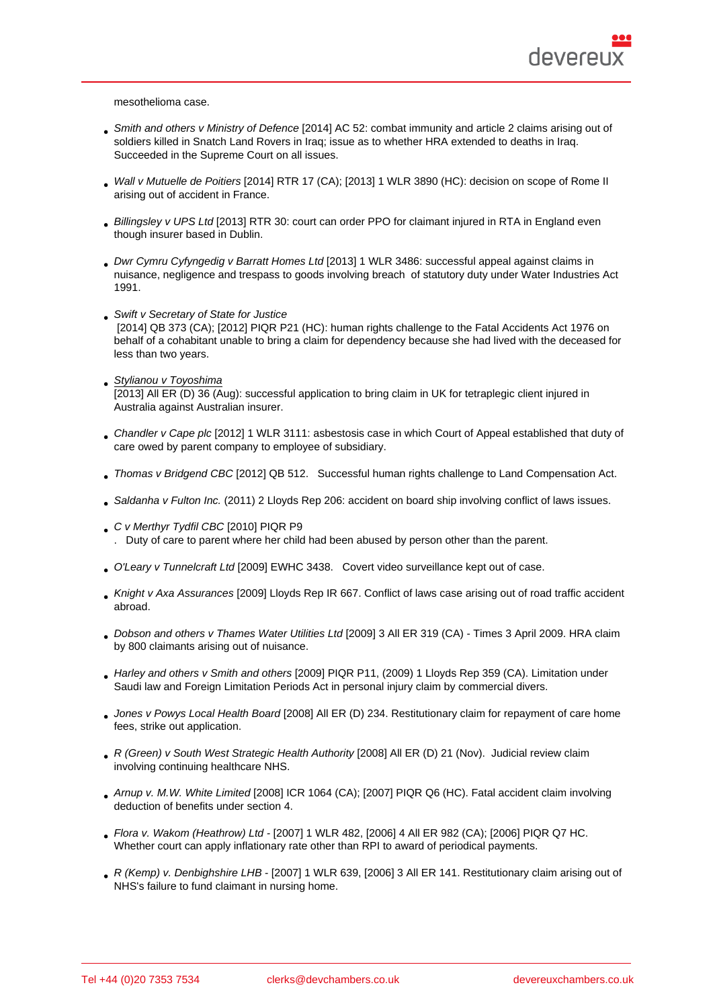mesothelioma case.

- Smith and others v Ministry of Defence [2014] AC 52: combat immunity and article 2 claims arising out of soldiers killed in Snatch Land Rovers in Iraq; issue as to whether HRA extended to deaths in Iraq. Succeeded in the Supreme Court on all issues.
- [Wall v Mutuelle de Poitiers](https://www.bailii.org/uk/cases/UKSC/2013/41.html) [2014] RTR 17 (CA); [2013] 1 WLR 3890 (HC): decision on scope of Rome II arising out of accident in France.
- Billingsley v UPS Ltd [2013] RTR 30: court can order PPO for claimant injured in RTA in England even [though insurer based in Du](http://bit.ly/3cLWXGj)blin.
- Dwr Cymru Cyfyngedig v Barratt Homes Ltd [2013] 1 WLR 3486: successful appeal against claims in nuisance, negligence and trespass to goods involving breach of statutory duty under Water Industries Act 1991.
- [Swift v Secretary of State for Justice](http://bit.ly/2W0ATlb) [2014] QB 373 (CA); [2012] PIQR P21 (HC): human rights challenge to the Fatal Accidents Act 1976 on behalf of a cohabitant unable to bring a claim for dependency because she had lived with the deceased for less than two years.
- · [Stylianou v Toyoshima](http://bit.ly/3cRW3Z5) [2013] All ER (D) 36 (Aug): successful application to bring claim in UK for tetraplegic client injured in Australia against Australian insurer.
- [C](http://www.lawtel.com/UK/Searches/2940/AC0137915#)handler v Cape plc [2012] 1 WLR 3111: asbestosis case in which Court of Appeal established that duty of care owed by parent company to employee of subsidiary.
- Thomas v Bridgend CBC [2012] QB 512. Successful human rights challenge to Land Compensation Act.
- [Saldanha v Fulton In](http://bit.ly/3cLs9pd)c. (2011) 2 Lloyds Rep 206: accident on board ship involving conflict of laws issues.
- [C v Merthyr Tydfil CBC \[2](http://bit.ly/3cFw0nA)010] PIQR P9
- . Duty of care to parent where her child [ha](http://bit.ly/3cFw0nA)d been abused by person other than the parent.
- [O'Leary v Tunnelcraft Ltd](http://bit.ly/2vLsA2h) [2009] EWHC 3438. Covert video surveillance kept out of case.
- [Knight v Axa Assurance](http://bit.ly/2Q1ta2y)s [2009] Lloyds Rep IR 667. Conflict of laws case arising out of road traffic accident abroad.
- [Dobson and others v Tha](https://swarb.co.uk/oleary-v-tunnelcraft-ltd-2009/)mes Water Utilities Ltd [2009] 3 All ER 319 (CA) Times 3 April 2009. HRA claim [by 800 claimants arising o](http://bit.ly/3cPeKMC)ut of nuisance.
- Harley and others v Smith and others [2009] PIQR P11, (2009) 1 Lloyds Rep 359 (CA). Limitation under [Saudi law and Foreign Limitation Periods Act in](http://bit.ly/2IBbhU9) personal injury claim by commercial divers.
- Jones v Powys Local Health Board [2008] All ER (D) 234. Restitutionary claim for repayment of care home [fees, strike out application.](http://bit.ly/2IBkfB2)
- R (Green) v South West Strategic Health Authority [2008] All ER (D) 21 (Nov). Judicial review claim [involving continuing healthcare NHS](http://bit.ly/2Ix5z5Q).
- Arnup v. M.W. White Limited [2008] ICR 1064 (CA); [2007] PIQR Q6 (HC). Fatal accident claim involving [deduction of benefits under section 4.](http://bit.ly/2IErpEg)
- Flora v. Wakom (Heathrow) Ltd [2007] 1 WLR 482, [2006] 4 All ER 982 (CA); [2006] PIQR Q7 HC. [Whether court can apply infla](http://bit.ly/3aHb5i5)tionary rate other than RPI to award of periodical payments.
- R (Kemp) v. Denbighshire LHB [2007] 1 WLR 639, [2006] 3 All ER 141. Restitutionary claim arising out of [NHS](http://bit.ly/39Fe36B)'[s failure to fund claimant in nursing home](http://bit.ly/39Fe36B).